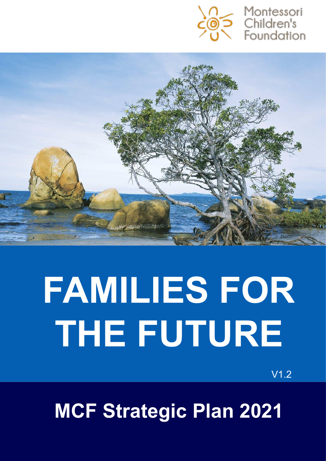



# **FAMILIES FOR THE FUTURE**

V1.2

**MCF Strategic Plan 2021**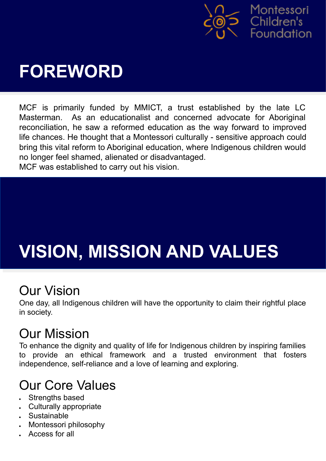

### **FOREWORD**

MCF is primarily funded by MMICT, a trust established by the late LC Masterman. As an educationalist and concerned advocate for Aboriginal reconciliation, he saw a reformed education as the way forward to improved life chances. He thought that a Montessori culturally - sensitive approach could bring this vital reform to Aboriginal education, where Indigenous children would no longer feel shamed, alienated or disadvantaged.

MCF was established to carry out his vision.

# **VISION, MISSION AND VALUES**

#### Our Vision

One day, all Indigenous children will have the opportunity to claim their rightful place in society.

#### Our Mission

To enhance the dignity and quality of life for Indigenous children by inspiring families to provide an ethical framework and a trusted environment that fosters independence, self-reliance and a love of learning and exploring.

#### Our Core Values

- Strengths based
- **Culturally appropriate**
- Sustainable
- Montessori philosophy
- Access for all